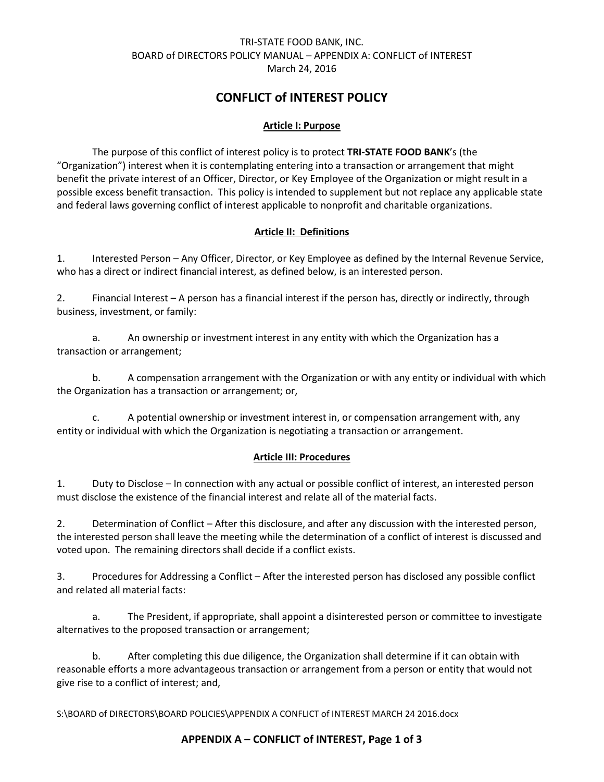# TRI-STATE FOOD BANK, INC. BOARD of DIRECTORS POLICY MANUAL – APPENDIX A: CONFLICT of INTEREST March 24, 2016

# **CONFLICT of INTEREST POLICY**

### **Article I: Purpose**

The purpose of this conflict of interest policy is to protect **TRI-STATE FOOD BANK**'s (the "Organization") interest when it is contemplating entering into a transaction or arrangement that might benefit the private interest of an Officer, Director, or Key Employee of the Organization or might result in a possible excess benefit transaction. This policy is intended to supplement but not replace any applicable state and federal laws governing conflict of interest applicable to nonprofit and charitable organizations.

## **Article II: Definitions**

1. Interested Person – Any Officer, Director, or Key Employee as defined by the Internal Revenue Service, who has a direct or indirect financial interest, as defined below, is an interested person.

2. Financial Interest – A person has a financial interest if the person has, directly or indirectly, through business, investment, or family:

a. An ownership or investment interest in any entity with which the Organization has a transaction or arrangement;

b. A compensation arrangement with the Organization or with any entity or individual with which the Organization has a transaction or arrangement; or,

c. A potential ownership or investment interest in, or compensation arrangement with, any entity or individual with which the Organization is negotiating a transaction or arrangement.

#### **Article III: Procedures**

1. Duty to Disclose – In connection with any actual or possible conflict of interest, an interested person must disclose the existence of the financial interest and relate all of the material facts.

2. Determination of Conflict – After this disclosure, and after any discussion with the interested person, the interested person shall leave the meeting while the determination of a conflict of interest is discussed and voted upon. The remaining directors shall decide if a conflict exists.

3. Procedures for Addressing a Conflict – After the interested person has disclosed any possible conflict and related all material facts:

a. The President, if appropriate, shall appoint a disinterested person or committee to investigate alternatives to the proposed transaction or arrangement;

b. After completing this due diligence, the Organization shall determine if it can obtain with reasonable efforts a more advantageous transaction or arrangement from a person or entity that would not give rise to a conflict of interest; and,

S:\BOARD of DIRECTORS\BOARD POLICIES\APPENDIX A CONFLICT of INTEREST MARCH 24 2016.docx

#### **APPENDIX A – CONFLICT of INTEREST, Page 1 of 3**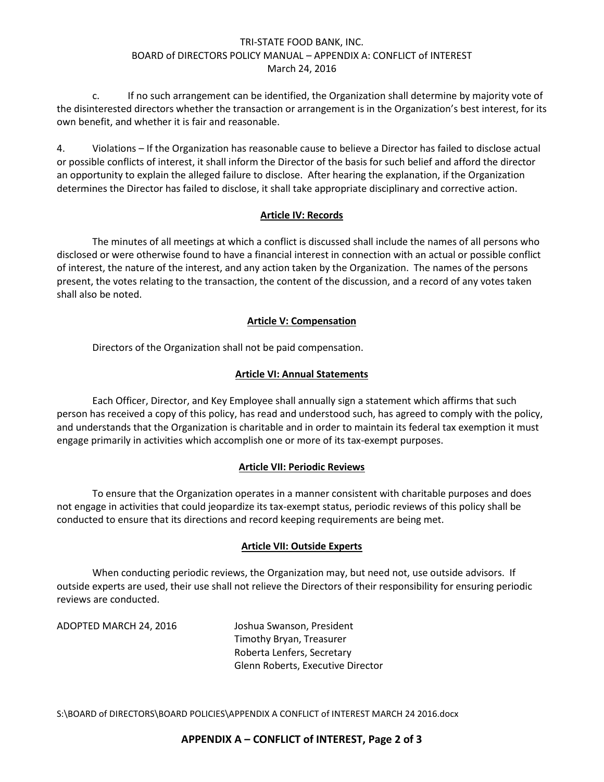## TRI-STATE FOOD BANK, INC. BOARD of DIRECTORS POLICY MANUAL – APPENDIX A: CONFLICT of INTEREST March 24, 2016

c. If no such arrangement can be identified, the Organization shall determine by majority vote of the disinterested directors whether the transaction or arrangement is in the Organization's best interest, for its own benefit, and whether it is fair and reasonable.

4. Violations – If the Organization has reasonable cause to believe a Director has failed to disclose actual or possible conflicts of interest, it shall inform the Director of the basis for such belief and afford the director an opportunity to explain the alleged failure to disclose. After hearing the explanation, if the Organization determines the Director has failed to disclose, it shall take appropriate disciplinary and corrective action.

#### **Article IV: Records**

The minutes of all meetings at which a conflict is discussed shall include the names of all persons who disclosed or were otherwise found to have a financial interest in connection with an actual or possible conflict of interest, the nature of the interest, and any action taken by the Organization. The names of the persons present, the votes relating to the transaction, the content of the discussion, and a record of any votes taken shall also be noted.

## **Article V: Compensation**

Directors of the Organization shall not be paid compensation.

## **Article VI: Annual Statements**

Each Officer, Director, and Key Employee shall annually sign a statement which affirms that such person has received a copy of this policy, has read and understood such, has agreed to comply with the policy, and understands that the Organization is charitable and in order to maintain its federal tax exemption it must engage primarily in activities which accomplish one or more of its tax-exempt purposes.

# **Article VII: Periodic Reviews**

To ensure that the Organization operates in a manner consistent with charitable purposes and does not engage in activities that could jeopardize its tax-exempt status, periodic reviews of this policy shall be conducted to ensure that its directions and record keeping requirements are being met.

#### **Article VII: Outside Experts**

When conducting periodic reviews, the Organization may, but need not, use outside advisors. If outside experts are used, their use shall not relieve the Directors of their responsibility for ensuring periodic reviews are conducted.

ADOPTED MARCH 24, 2016 Joshua Swanson, President

Timothy Bryan, Treasurer Roberta Lenfers, Secretary Glenn Roberts, Executive Director

S:\BOARD of DIRECTORS\BOARD POLICIES\APPENDIX A CONFLICT of INTEREST MARCH 24 2016.docx

# **APPENDIX A – CONFLICT of INTEREST, Page 2 of 3**